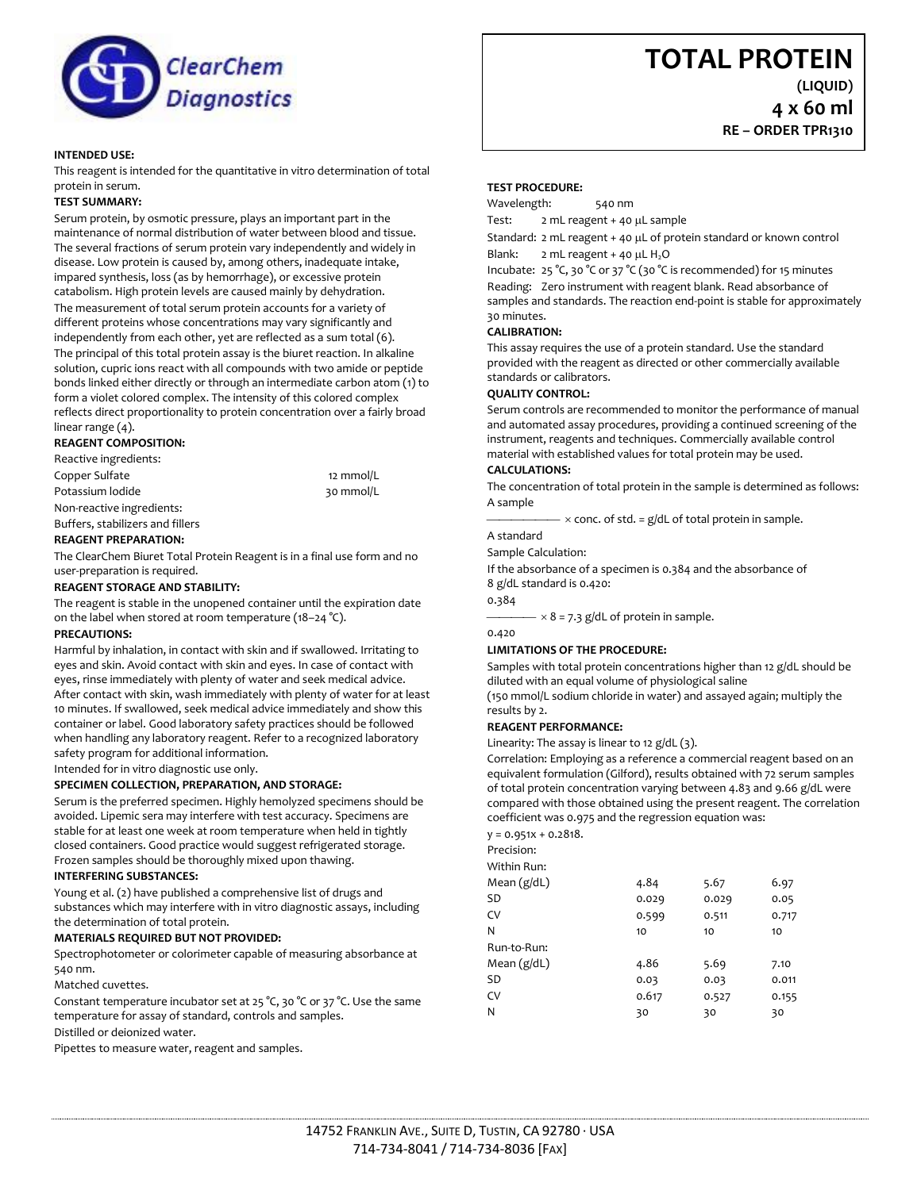

## **INTENDED USE:**

This reagent is intended for the quantitative in vitro determination of total protein in serum.

### **TEST SUMMARY:**

Serum protein, by osmotic pressure, plays an important part in the maintenance of normal distribution of water between blood and tissue. The several fractions of serum protein vary independently and widely in disease. Low protein is caused by, among others, inadequate intake, impared synthesis, loss (as by hemorrhage), or excessive protein catabolism. High protein levels are caused mainly by dehydration. The measurement of total serum protein accounts for a variety of different proteins whose concentrations may vary significantly and independently from each other, yet are reflected as a sum total (6). The principal of this total protein assay is the biuret reaction. In alkaline solution, cupric ions react with all compounds with two amide or peptide bonds linked either directly or through an intermediate carbon atom (1) to form a violet colored complex. The intensity of this colored complex reflects direct proportionality to protein concentration over a fairly broad linear range (4).

## **REAGENT COMPOSITION:**

Reactive ingredients: Copper Sulfate 12 mmol/L Potassium lodide 30 mmol/L Non-reactive ingredients: Buffers, stabilizers and fillers

# **REAGENT PREPARATION:**

The ClearChem Biuret Total Protein Reagent is in a final use form and no user-preparation is required.

#### **REAGENT STORAGE AND STABILITY:**

The reagent is stable in the unopened container until the expiration date on the label when stored at room temperature (18–24 °C).

# **PRECAUTIONS:**

Harmful by inhalation, in contact with skin and if swallowed. Irritating to eyes and skin. Avoid contact with skin and eyes. In case of contact with eyes, rinse immediately with plenty of water and seek medical advice. After contact with skin, wash immediately with plenty of water for at least 10 minutes. If swallowed, seek medical advice immediately and show this container or label. Good laboratory safety practices should be followed when handling any laboratory reagent. Refer to a recognized laboratory safety program for additional information.

Intended for in vitro diagnostic use only.

# **SPECIMEN COLLECTION, PREPARATION, AND STORAGE:**

Serum is the preferred specimen. Highly hemolyzed specimens should be avoided. Lipemic sera may interfere with test accuracy. Specimens are stable for at least one week at room temperature when held in tightly closed containers. Good practice would suggest refrigerated storage. Frozen samples should be thoroughly mixed upon thawing.

### **INTERFERING SUBSTANCES:**

Young et al. (2) have published a comprehensive list of drugs and substances which may interfere with in vitro diagnostic assays, including the determination of total protein.

#### **MATERIALS REQUIRED BUT NOT PROVIDED:**

Spectrophotometer or colorimeter capable of measuring absorbance at 540 nm.

Matched cuvettes.

Constant temperature incubator set at 25 °C, 30 °C or 37 °C. Use the same temperature for assay of standard, controls and samples. Distilled or deionized water.

Pipettes to measure water, reagent and samples.

**(LIQUID)**

**4 x 60 ml RE – ORDER TPR1310**

**TEST PROCEDURE:**

Wavelength: 540 nm

Test: 2 mL reagent + 40 µL sample

Standard: 2 mL reagent + 40 µL of protein standard or known control Blank:  $2 \text{ mL reagent} + 40 \mu \text{ L H}_2\text{O}$ 

Incubate: 25 °C, 30 °C or 37 °C (30 °C is recommended) for 15 minutes

Reading: Zero instrument with reagent blank. Read absorbance of samples and standards. The reaction end-point is stable for approximately 30 minutes.

# **CALIBRATION:**

This assay requires the use of a protein standard. Use the standard provided with the reagent as directed or other commercially available standards or calibrators.

#### **QUALITY CONTROL:**

Serum controls are recommended to monitor the performance of manual and automated assay procedures, providing a continued screening of the instrument, reagents and techniques. Commercially available control material with established values for total protein may be used.

### **CALCULATIONS:**

The concentration of total protein in the sample is determined as follows: A sample

 $\times$  conc. of std. = g/dL of total protein in sample.

# A standard

Sample Calculation:

If the absorbance of a specimen is 0.384 and the absorbance of 8 g/dL standard is 0.420:

0.384

 $\times$  8 = 7.3 g/dL of protein in sample.

0.420

# **LIMITATIONS OF THE PROCEDURE:**

Samples with total protein concentrations higher than 12 g/dL should be diluted with an equal volume of physiological saline

(150 mmol/L sodium chloride in water) and assayed again; multiply the results by 2.

### **REAGENT PERFORMANCE:**

Linearity: The assay is linear to 12 g/dL (3).

Correlation: Employing as a reference a commercial reagent based on an equivalent formulation (Gilford), results obtained with 72 serum samples of total protein concentration varying between 4.83 and 9.66 g/dL were compared with those obtained using the present reagent. The correlation coefficient was 0.975 and the regression equation was:

 $y = 0.951x + 0.2818$ .

| Precision: |
|------------|
|            |
|            |

| 4.84  | 5.67  | 6.97  |
|-------|-------|-------|
| 0.029 | 0.029 | 0.05  |
| 0.599 | 0.511 | 0.717 |
| 10    | 10    | 10    |
|       |       |       |
| 4.86  | 5.69  | 7.10  |
| 0.03  | 0.03  | 0.011 |
| 0.617 | 0.527 | 0.155 |
| 30    | 30    | 30    |
|       |       |       |